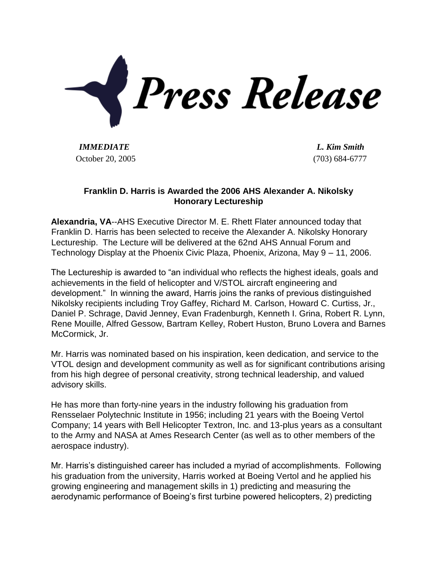

*IMMEDIATE L. Kim Smith* October 20, 2005 (703) 684-6777

## **Franklin D. Harris is Awarded the 2006 AHS Alexander A. Nikolsky Honorary Lectureship**

**Alexandria, VA**--AHS Executive Director M. E. Rhett Flater announced today that Franklin D. Harris has been selected to receive the Alexander A. Nikolsky Honorary Lectureship. The Lecture will be delivered at the 62nd AHS Annual Forum and Technology Display at the Phoenix Civic Plaza, Phoenix, Arizona, May 9 – 11, 2006.

The Lectureship is awarded to "an individual who reflects the highest ideals, goals and achievements in the field of helicopter and V/STOL aircraft engineering and development." In winning the award, Harris joins the ranks of previous distinguished Nikolsky recipients including Troy Gaffey, Richard M. Carlson, Howard C. Curtiss, Jr., Daniel P. Schrage, David Jenney, Evan Fradenburgh, Kenneth I. Grina, Robert R. Lynn, Rene Mouille, Alfred Gessow, Bartram Kelley, Robert Huston, Bruno Lovera and Barnes McCormick, Jr.

Mr. Harris was nominated based on his inspiration, keen dedication, and service to the VTOL design and development community as well as for significant contributions arising from his high degree of personal creativity, strong technical leadership, and valued advisory skills.

He has more than forty-nine years in the industry following his graduation from Rensselaer Polytechnic Institute in 1956; including 21 years with the Boeing Vertol Company; 14 years with Bell Helicopter Textron, Inc. and 13-plus years as a consultant to the Army and NASA at Ames Research Center (as well as to other members of the aerospace industry).

Mr. Harris's distinguished career has included a myriad of accomplishments. Following his graduation from the university, Harris worked at Boeing Vertol and he applied his growing engineering and management skills in 1) predicting and measuring the aerodynamic performance of Boeing's first turbine powered helicopters, 2) predicting